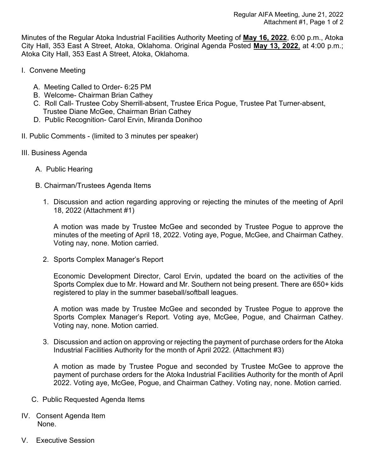Minutes of the Regular Atoka Industrial Facilities Authority Meeting of **May 16, 2022**, 6:00 p.m., Atoka City Hall, 353 East A Street, Atoka, Oklahoma. Original Agenda Posted **May 13, 2022**, at 4:00 p.m.; Atoka City Hall, 353 East A Street, Atoka, Oklahoma.

- I. Convene Meeting
	- A. Meeting Called to Order- 6:25 PM
	- B. Welcome- Chairman Brian Cathey
	- C. Roll Call- Trustee Coby Sherrill-absent, Trustee Erica Pogue, Trustee Pat Turner-absent, Trustee Diane McGee, Chairman Brian Cathey
	- D. Public Recognition- Carol Ervin, Miranda Donihoo
- II. Public Comments (limited to 3 minutes per speaker)
- III. Business Agenda
	- A. Public Hearing
	- B. Chairman/Trustees Agenda Items
		- 1. Discussion and action regarding approving or rejecting the minutes of the meeting of April 18, 2022 (Attachment #1)

A motion was made by Trustee McGee and seconded by Trustee Pogue to approve the minutes of the meeting of April 18, 2022. Voting aye, Pogue, McGee, and Chairman Cathey. Voting nay, none. Motion carried.

2. Sports Complex Manager's Report

Economic Development Director, Carol Ervin, updated the board on the activities of the Sports Complex due to Mr. Howard and Mr. Southern not being present. There are 650+ kids registered to play in the summer baseball/softball leagues.

A motion was made by Trustee McGee and seconded by Trustee Pogue to approve the Sports Complex Manager's Report. Voting aye, McGee, Pogue, and Chairman Cathey. Voting nay, none. Motion carried.

3. Discussion and action on approving or rejecting the payment of purchase orders for the Atoka Industrial Facilities Authority for the month of April 2022. (Attachment #3)

A motion as made by Trustee Pogue and seconded by Trustee McGee to approve the payment of purchase orders for the Atoka Industrial Facilities Authority for the month of April 2022. Voting aye, McGee, Pogue, and Chairman Cathey. Voting nay, none. Motion carried.

- C. Public Requested Agenda Items
- IV. Consent Agenda Item None.
- V. Executive Session